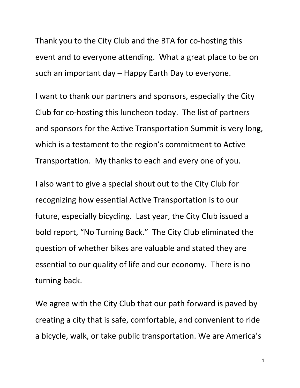Thank you to the City Club and the BTA for co-hosting this event and to everyone attending. What a great place to be on such an important day – Happy Earth Day to everyone.

I want to thank our partners and sponsors, especially the City Club for co‐hosting this luncheon today. The list of partners and sponsors for the Active Transportation Summit is very long, which is a testament to the region's commitment to Active Transportation. My thanks to each and every one of you.

I also want to give a special shout out to the City Club for recognizing how essential Active Transportation is to our future, especially bicycling. Last year, the City Club issued a bold report, "No Turning Back." The City Club eliminated the question of whether bikes are valuable and stated they are essential to our quality of life and our economy. There is no turning back.

We agree with the City Club that our path forward is paved by creating a city that is safe, comfortable, and convenient to ride a bicycle, walk, or take public transportation. We are America's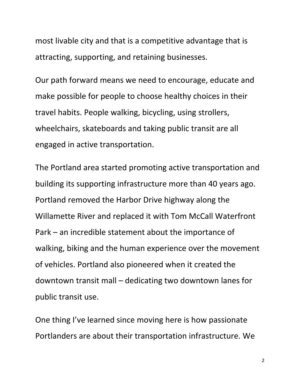most livable city and that is a competitive advantage that is attracting, supporting, and retaining businesses.

Our path forward means we need to encourage, educate and make possible for people to choose healthy choices in their travel habits. People walking, bicycling, using strollers, wheelchairs, skateboards and taking public transit are all engaged in active transportation.

The Portland area started promoting active transportation and building its supporting infrastructure more than 40 years ago. Portland removed the Harbor Drive highway along the Willamette River and replaced it with Tom McCall Waterfront Park – an incredible statement about the importance of walking, biking and the human experience over the movement of vehicles. Portland also pioneered when it created the downtown transit mall – dedicating two downtown lanes for public transit use.

One thing I've learned since moving here is how passionate Portlanders are about their transportation infrastructure. We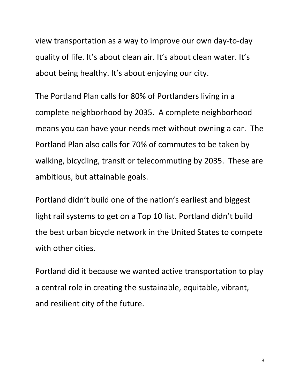view transportation as a way to improve our own day‐to‐day quality of life. It's about clean air. It's about clean water. It's about being healthy. It's about enjoying our city.

The Portland Plan calls for 80% of Portlanders living in a complete neighborhood by 2035. A complete neighborhood means you can have your needs met without owning a car. The Portland Plan also calls for 70% of commutes to be taken by walking, bicycling, transit or telecommuting by 2035. These are ambitious, but attainable goals.

Portland didn't build one of the nation's earliest and biggest light rail systems to get on a Top 10 list. Portland didn't build the best urban bicycle network in the United States to compete with other cities.

Portland did it because we wanted active transportation to play a central role in creating the sustainable, equitable, vibrant, and resilient city of the future.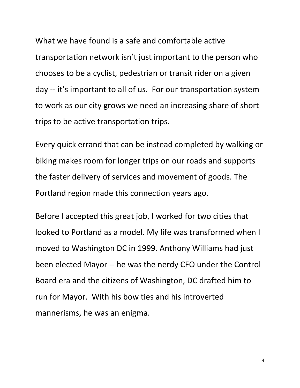What we have found is a safe and comfortable active transportation network isn't just important to the person who chooses to be a cyclist, pedestrian or transit rider on a given day ‐‐ it's important to all of us. For our transportation system to work as our city grows we need an increasing share of short trips to be active transportation trips.

Every quick errand that can be instead completed by walking or biking makes room for longer trips on our roads and supports the faster delivery of services and movement of goods. The Portland region made this connection years ago.

Before I accepted this great job, I worked for two cities that looked to Portland as a model. My life was transformed when I moved to Washington DC in 1999. Anthony Williams had just been elected Mayor ‐‐ he was the nerdy CFO under the Control Board era and the citizens of Washington, DC drafted him to run for Mayor. With his bow ties and his introverted mannerisms, he was an enigma.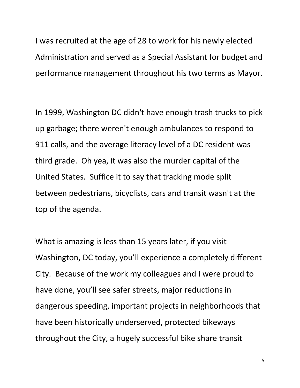I was recruited at the age of 28 to work for his newly elected Administration and served as a Special Assistant for budget and performance management throughout his two terms as Mayor.

In 1999, Washington DC didn't have enough trash trucks to pick up garbage; there weren't enough ambulances to respond to 911 calls, and the average literacy level of a DC resident was third grade. Oh yea, it was also the murder capital of the United States. Suffice it to say that tracking mode split between pedestrians, bicyclists, cars and transit wasn't at the top of the agenda.

What is amazing is less than 15 years later, if you visit Washington, DC today, you'll experience a completely different City. Because of the work my colleagues and I were proud to have done, you'll see safer streets, major reductions in dangerous speeding, important projects in neighborhoods that have been historically underserved, protected bikeways throughout the City, a hugely successful bike share transit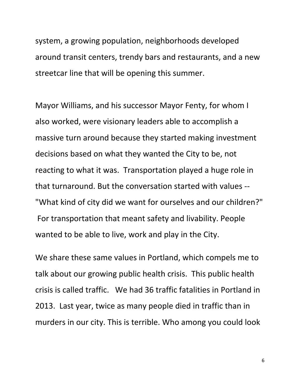system, a growing population, neighborhoods developed around transit centers, trendy bars and restaurants, and a new streetcar line that will be opening this summer.

Mayor Williams, and his successor Mayor Fenty, for whom I also worked, were visionary leaders able to accomplish a massive turn around because they started making investment decisions based on what they wanted the City to be, not reacting to what it was. Transportation played a huge role in that turnaround. But the conversation started with values ‐‐ "What kind of city did we want for ourselves and our children?" For transportation that meant safety and livability. People wanted to be able to live, work and play in the City.

We share these same values in Portland, which compels me to talk about our growing public health crisis. This public health crisis is called traffic. We had 36 traffic fatalities in Portland in 2013. Last year, twice as many people died in traffic than in murders in our city. This is terrible. Who among you could look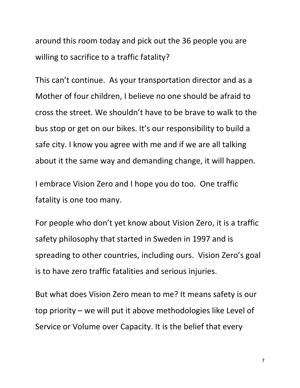around this room today and pick out the 36 people you are willing to sacrifice to a traffic fatality?

This can't continue. As your transportation director and as a Mother of four children, I believe no one should be afraid to cross the street. We shouldn't have to be brave to walk to the bus stop or get on our bikes. It's our responsibility to build a safe city. I know you agree with me and if we are all talking about it the same way and demanding change, it will happen.

I embrace Vision Zero and I hope you do too. One traffic fatality is one too many.

For people who don't yet know about Vision Zero, it is a traffic safety philosophy that started in Sweden in 1997 and is spreading to other countries, including ours. Vision Zero's goal is to have zero traffic fatalities and serious injuries.

But what does Vision Zero mean to me? It means safety is our top priority – we will put it above methodologies like Level of Service or Volume over Capacity. It is the belief that every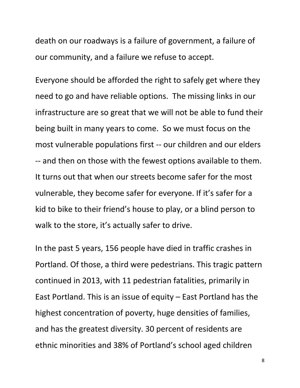death on our roadways is a failure of government, a failure of our community, and a failure we refuse to accept.

Everyone should be afforded the right to safely get where they need to go and have reliable options. The missing links in our infrastructure are so great that we will not be able to fund their being built in many years to come. So we must focus on the most vulnerable populations first ‐‐ our children and our elders ‐‐ and then on those with the fewest options available to them. It turns out that when our streets become safer for the most vulnerable, they become safer for everyone. If it's safer for a kid to bike to their friend's house to play, or a blind person to walk to the store, it's actually safer to drive.

In the past 5 years, 156 people have died in traffic crashes in Portland. Of those, a third were pedestrians. This tragic pattern continued in 2013, with 11 pedestrian fatalities, primarily in East Portland. This is an issue of equity – East Portland has the highest concentration of poverty, huge densities of families, and has the greatest diversity. 30 percent of residents are ethnic minorities and 38% of Portland's school aged children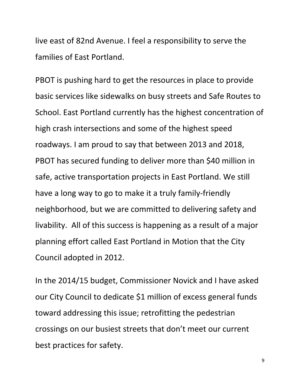live east of 82nd Avenue. I feel a responsibility to serve the families of East Portland.

PBOT is pushing hard to get the resources in place to provide basic services like sidewalks on busy streets and Safe Routes to School. East Portland currently has the highest concentration of high crash intersections and some of the highest speed roadways. I am proud to say that between 2013 and 2018, PBOT has secured funding to deliver more than \$40 million in safe, active transportation projects in East Portland. We still have a long way to go to make it a truly family‐friendly neighborhood, but we are committed to delivering safety and livability. All of this success is happening as a result of a major planning effort called East Portland in Motion that the City Council adopted in 2012.

In the 2014/15 budget, Commissioner Novick and I have asked our City Council to dedicate \$1 million of excess general funds toward addressing this issue; retrofitting the pedestrian crossings on our busiest streets that don't meet our current best practices for safety.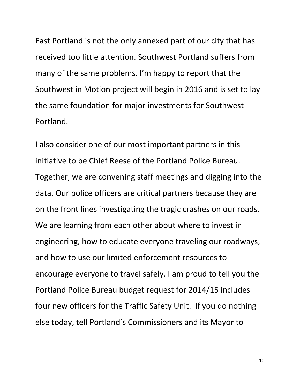East Portland is not the only annexed part of our city that has received too little attention. Southwest Portland suffers from many of the same problems. I'm happy to report that the Southwest in Motion project will begin in 2016 and is set to lay the same foundation for major investments for Southwest Portland.

I also consider one of our most important partners in this initiative to be Chief Reese of the Portland Police Bureau. Together, we are convening staff meetings and digging into the data. Our police officers are critical partners because they are on the front lines investigating the tragic crashes on our roads. We are learning from each other about where to invest in engineering, how to educate everyone traveling our roadways, and how to use our limited enforcement resources to encourage everyone to travel safely. I am proud to tell you the Portland Police Bureau budget request for 2014/15 includes four new officers for the Traffic Safety Unit. If you do nothing else today, tell Portland's Commissioners and its Mayor to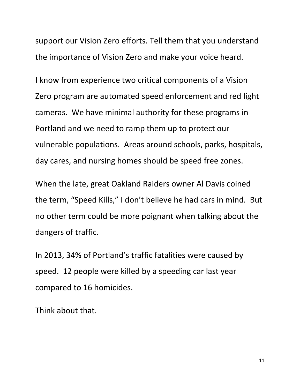support our Vision Zero efforts. Tell them that you understand the importance of Vision Zero and make your voice heard.

I know from experience two critical components of a Vision Zero program are automated speed enforcement and red light cameras. We have minimal authority for these programs in Portland and we need to ramp them up to protect our vulnerable populations. Areas around schools, parks, hospitals, day cares, and nursing homes should be speed free zones.

When the late, great Oakland Raiders owner Al Davis coined the term, "Speed Kills," I don't believe he had cars in mind. But no other term could be more poignant when talking about the dangers of traffic.

In 2013, 34% of Portland's traffic fatalities were caused by speed. 12 people were killed by a speeding car last year compared to 16 homicides.

Think about that.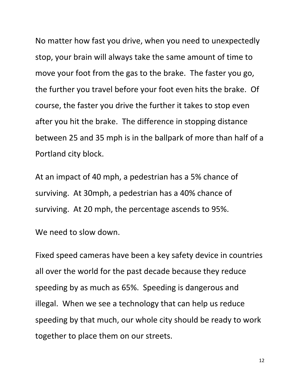No matter how fast you drive, when you need to unexpectedly stop, your brain will always take the same amount of time to move your foot from the gas to the brake. The faster you go, the further you travel before your foot even hits the brake. Of course, the faster you drive the further it takes to stop even after you hit the brake. The difference in stopping distance between 25 and 35 mph is in the ballpark of more than half of a Portland city block.

At an impact of 40 mph, a pedestrian has a 5% chance of surviving. At 30mph, a pedestrian has a 40% chance of surviving. At 20 mph, the percentage ascends to 95%.

We need to slow down.

Fixed speed cameras have been a key safety device in countries all over the world for the past decade because they reduce speeding by as much as 65%. Speeding is dangerous and illegal. When we see a technology that can help us reduce speeding by that much, our whole city should be ready to work together to place them on our streets.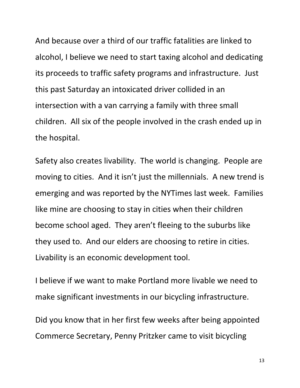And because over a third of our traffic fatalities are linked to alcohol, I believe we need to start taxing alcohol and dedicating its proceeds to traffic safety programs and infrastructure. Just this past Saturday an intoxicated driver collided in an intersection with a van carrying a family with three small children. All six of the people involved in the crash ended up in the hospital.

Safety also creates livability. The world is changing. People are moving to cities. And it isn't just the millennials. A new trend is emerging and was reported by the NYTimes last week. Families like mine are choosing to stay in cities when their children become school aged. They aren't fleeing to the suburbs like they used to. And our elders are choosing to retire in cities. Livability is an economic development tool.

I believe if we want to make Portland more livable we need to make significant investments in our bicycling infrastructure.

Did you know that in her first few weeks after being appointed Commerce Secretary, Penny Pritzker came to visit bicycling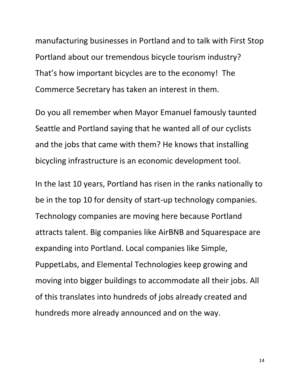manufacturing businesses in Portland and to talk with First Stop Portland about our tremendous bicycle tourism industry? That's how important bicycles are to the economy! The Commerce Secretary has taken an interest in them.

Do you all remember when Mayor Emanuel famously taunted Seattle and Portland saying that he wanted all of our cyclists and the jobs that came with them? He knows that installing bicycling infrastructure is an economic development tool.

In the last 10 years, Portland has risen in the ranks nationally to be in the top 10 for density of start-up technology companies. Technology companies are moving here because Portland attracts talent. Big companies like AirBNB and Squarespace are expanding into Portland. Local companies like Simple, PuppetLabs, and Elemental Technologies keep growing and moving into bigger buildings to accommodate all their jobs. All of this translates into hundreds of jobs already created and hundreds more already announced and on the way.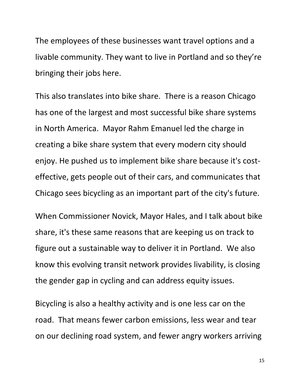The employees of these businesses want travel options and a livable community. They want to live in Portland and so they're bringing their jobs here.

This also translates into bike share. There is a reason Chicago has one of the largest and most successful bike share systems in North America. Mayor Rahm Emanuel led the charge in creating a bike share system that every modern city should enjoy. He pushed us to implement bike share because it's cost‐ effective, gets people out of their cars, and communicates that Chicago sees bicycling as an important part of the city's future.

When Commissioner Novick, Mayor Hales, and I talk about bike share, it's these same reasons that are keeping us on track to figure out a sustainable way to deliver it in Portland. We also know this evolving transit network provides livability, is closing the gender gap in cycling and can address equity issues.

Bicycling is also a healthy activity and is one less car on the road. That means fewer carbon emissions, less wear and tear on our declining road system, and fewer angry workers arriving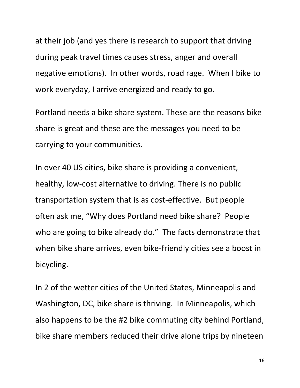at their job (and yes there is research to support that driving during peak travel times causes stress, anger and overall negative emotions). In other words, road rage. When I bike to work everyday, I arrive energized and ready to go.

Portland needs a bike share system. These are the reasons bike share is great and these are the messages you need to be carrying to your communities.

In over 40 US cities, bike share is providing a convenient, healthy, low-cost alternative to driving. There is no public transportation system that is as cost‐effective. But people often ask me, "Why does Portland need bike share? People who are going to bike already do." The facts demonstrate that when bike share arrives, even bike‐friendly cities see a boost in bicycling.

In 2 of the wetter cities of the United States, Minneapolis and Washington, DC, bike share is thriving. In Minneapolis, which also happens to be the #2 bike commuting city behind Portland, bike share members reduced their drive alone trips by nineteen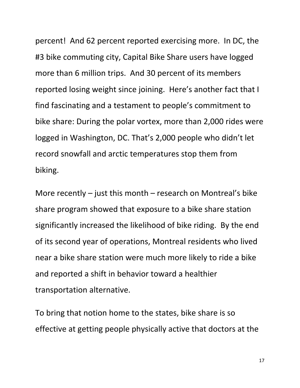percent! And 62 percent reported exercising more. In DC, the #3 bike commuting city, Capital Bike Share users have logged more than 6 million trips. And 30 percent of its members reported losing weight since joining. Here's another fact that I find fascinating and a testament to people's commitment to bike share: During the polar vortex, more than 2,000 rides were logged in Washington, DC. That's 2,000 people who didn't let record snowfall and arctic temperatures stop them from biking.

More recently – just this month – research on Montreal's bike share program showed that exposure to a bike share station significantly increased the likelihood of bike riding. By the end of its second year of operations, Montreal residents who lived near a bike share station were much more likely to ride a bike and reported a shift in behavior toward a healthier transportation alternative.

To bring that notion home to the states, bike share is so effective at getting people physically active that doctors at the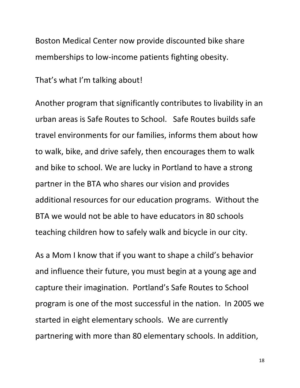Boston Medical Center now provide discounted bike share memberships to low-income patients fighting obesity.

That's what I'm talking about!

Another program that significantly contributes to livability in an urban areas is Safe Routes to School. Safe Routes builds safe travel environments for our families, informs them about how to walk, bike, and drive safely, then encourages them to walk and bike to school. We are lucky in Portland to have a strong partner in the BTA who shares our vision and provides additional resources for our education programs. Without the BTA we would not be able to have educators in 80 schools teaching children how to safely walk and bicycle in our city.

As a Mom I know that if you want to shape a child's behavior and influence their future, you must begin at a young age and capture their imagination. Portland's Safe Routes to School program is one of the most successful in the nation. In 2005 we started in eight elementary schools. We are currently partnering with more than 80 elementary schools. In addition,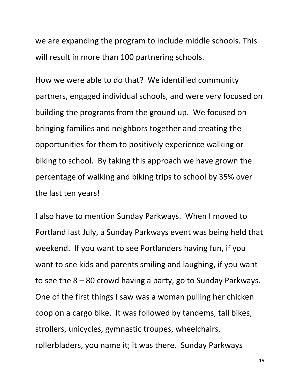we are expanding the program to include middle schools. This will result in more than 100 partnering schools.

How we were able to do that? We identified community partners, engaged individual schools, and were very focused on building the programs from the ground up. We focused on bringing families and neighbors together and creating the opportunities for them to positively experience walking or biking to school. By taking this approach we have grown the percentage of walking and biking trips to school by 35% over the last ten years!

I also have to mention Sunday Parkways. When I moved to Portland last July, a Sunday Parkways event was being held that weekend. If you want to see Portlanders having fun, if you want to see kids and parents smiling and laughing, if you want to see the 8 – 80 crowd having a party, go to Sunday Parkways. One of the first things I saw was a woman pulling her chicken coop on a cargo bike. It was followed by tandems, tall bikes, strollers, unicycles, gymnastic troupes, wheelchairs, rollerbladers, you name it; it was there. Sunday Parkways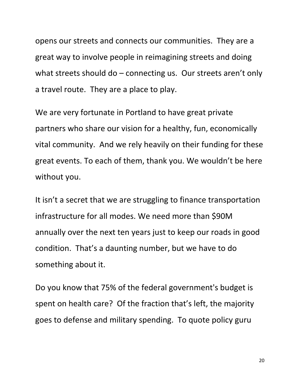opens our streets and connects our communities. They are a great way to involve people in reimagining streets and doing what streets should do  $-$  connecting us. Our streets aren't only a travel route. They are a place to play.

We are very fortunate in Portland to have great private partners who share our vision for a healthy, fun, economically vital community. And we rely heavily on their funding for these great events. To each of them, thank you. We wouldn't be here without you.

It isn't a secret that we are struggling to finance transportation infrastructure for all modes. We need more than \$90M annually over the next ten years just to keep our roads in good condition. That's a daunting number, but we have to do something about it.

Do you know that 75% of the federal government's budget is spent on health care? Of the fraction that's left, the majority goes to defense and military spending. To quote policy guru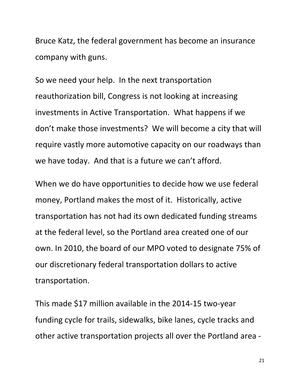Bruce Katz, the federal government has become an insurance company with guns.

So we need your help. In the next transportation reauthorization bill, Congress is not looking at increasing investments in Active Transportation. What happens if we don't make those investments? We will become a city that will require vastly more automotive capacity on our roadways than we have today. And that is a future we can't afford.

When we do have opportunities to decide how we use federal money, Portland makes the most of it. Historically, active transportation has not had its own dedicated funding streams at the federal level, so the Portland area created one of our own. In 2010, the board of our MPO voted to designate 75% of our discretionary federal transportation dollars to active transportation.

This made \$17 million available in the 2014‐15 two‐year funding cycle for trails, sidewalks, bike lanes, cycle tracks and other active transportation projects all over the Portland area ‐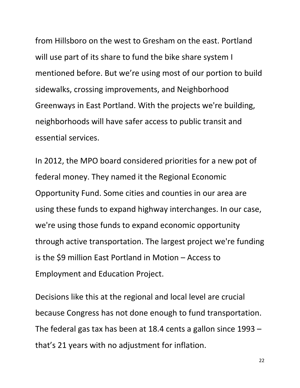from Hillsboro on the west to Gresham on the east. Portland will use part of its share to fund the bike share system I mentioned before. But we're using most of our portion to build sidewalks, crossing improvements, and Neighborhood Greenways in East Portland. With the projects we're building, neighborhoods will have safer access to public transit and essential services.

In 2012, the MPO board considered priorities for a new pot of federal money. They named it the Regional Economic Opportunity Fund. Some cities and counties in our area are using these funds to expand highway interchanges. In our case, we're using those funds to expand economic opportunity through active transportation. The largest project we're funding is the \$9 million East Portland in Motion – Access to Employment and Education Project.

Decisions like this at the regional and local level are crucial because Congress has not done enough to fund transportation. The federal gas tax has been at 18.4 cents a gallon since 1993 – that's 21 years with no adjustment for inflation.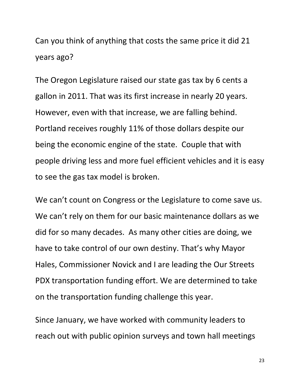Can you think of anything that costs the same price it did 21 years ago?

The Oregon Legislature raised our state gas tax by 6 cents a gallon in 2011. That was its first increase in nearly 20 years. However, even with that increase, we are falling behind. Portland receives roughly 11% of those dollars despite our being the economic engine of the state. Couple that with people driving less and more fuel efficient vehicles and it is easy to see the gas tax model is broken.

We can't count on Congress or the Legislature to come save us. We can't rely on them for our basic maintenance dollars as we did for so many decades. As many other cities are doing, we have to take control of our own destiny. That's why Mayor Hales, Commissioner Novick and I are leading the Our Streets PDX transportation funding effort. We are determined to take on the transportation funding challenge this year.

Since January, we have worked with community leaders to reach out with public opinion surveys and town hall meetings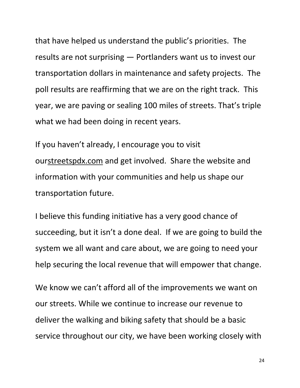that have helped us understand the public's priorities. The results are not surprising — Portlanders want us to invest our transportation dollars in maintenance and safety projects. The poll results are reaffirming that we are on the right track. This year, we are paving or sealing 100 miles of streets. That's triple what we had been doing in recent years.

If you haven't already, I encourage you to visit ou[rstreetspdx.com](http://streetspdx.com/) and get involved. Share the website and information with your communities and help us shape our transportation future.

I believe this funding initiative has a very good chance of succeeding, but it isn't a done deal. If we are going to build the system we all want and care about, we are going to need your help securing the local revenue that will empower that change.

We know we can't afford all of the improvements we want on our streets. While we continue to increase our revenue to deliver the walking and biking safety that should be a basic service throughout our city, we have been working closely with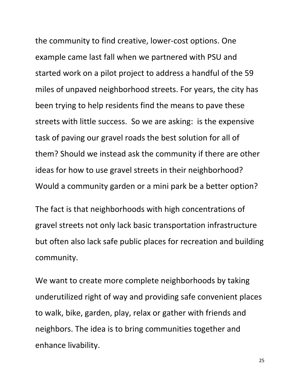the community to find creative, lower‐cost options. One example came last fall when we partnered with PSU and started work on a pilot project to address a handful of the 59 miles of unpaved neighborhood streets. For years, the city has been trying to help residents find the means to pave these streets with little success. So we are asking: is the expensive task of paving our gravel roads the best solution for all of them? Should we instead ask the community if there are other ideas for how to use gravel streets in their neighborhood? Would a community garden or a mini park be a better option?

The fact is that neighborhoods with high concentrations of gravel streets not only lack basic transportation infrastructure but often also lack safe public places for recreation and building community.

We want to create more complete neighborhoods by taking underutilized right of way and providing safe convenient places to walk, bike, garden, play, relax or gather with friends and neighbors. The idea is to bring communities together and enhance livability.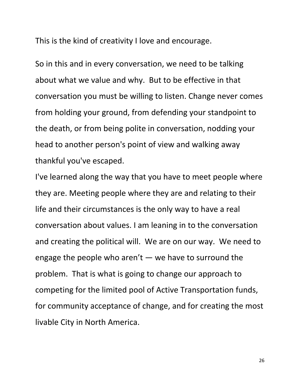This is the kind of creativity I love and encourage.

So in this and in every conversation, we need to be talking about what we value and why. But to be effective in that conversation you must be willing to listen. Change never comes from holding your ground, from defending your standpoint to the death, or from being polite in conversation, nodding your head to another person's point of view and walking away thankful you've escaped.

I've learned along the way that you have to meet people where they are. Meeting people where they are and relating to their life and their circumstances is the only way to have a real conversation about values. I am leaning in to the conversation and creating the political will. We are on our way. We need to engage the people who aren't — we have to surround the problem. That is what is going to change our approach to competing for the limited pool of Active Transportation funds, for community acceptance of change, and for creating the most livable City in North America.